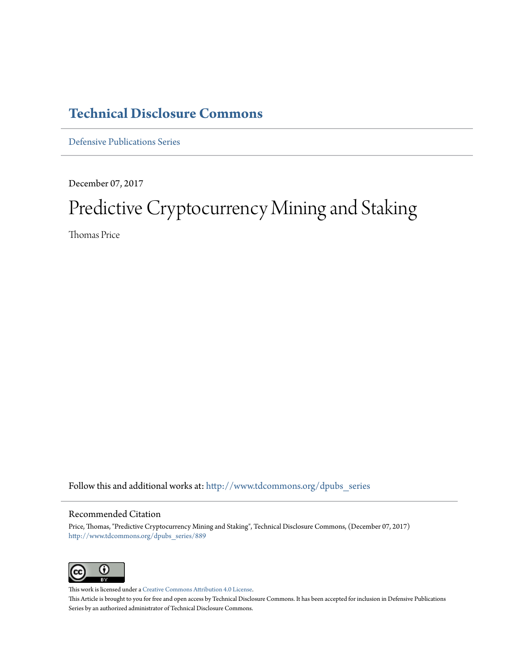### **[Technical Disclosure Commons](http://www.tdcommons.org?utm_source=www.tdcommons.org%2Fdpubs_series%2F889&utm_medium=PDF&utm_campaign=PDFCoverPages)**

[Defensive Publications Series](http://www.tdcommons.org/dpubs_series?utm_source=www.tdcommons.org%2Fdpubs_series%2F889&utm_medium=PDF&utm_campaign=PDFCoverPages)

December 07, 2017

## Predictive Cryptocurrency Mining and Staking

Thomas Price

Follow this and additional works at: [http://www.tdcommons.org/dpubs\\_series](http://www.tdcommons.org/dpubs_series?utm_source=www.tdcommons.org%2Fdpubs_series%2F889&utm_medium=PDF&utm_campaign=PDFCoverPages)

#### Recommended Citation

Price, Thomas, "Predictive Cryptocurrency Mining and Staking", Technical Disclosure Commons, (December 07, 2017) [http://www.tdcommons.org/dpubs\\_series/889](http://www.tdcommons.org/dpubs_series/889?utm_source=www.tdcommons.org%2Fdpubs_series%2F889&utm_medium=PDF&utm_campaign=PDFCoverPages)



This work is licensed under a [Creative Commons Attribution 4.0 License.](http://creativecommons.org/licenses/by/4.0/deed.en_US) This Article is brought to you for free and open access by Technical Disclosure Commons. It has been accepted for inclusion in Defensive Publications Series by an authorized administrator of Technical Disclosure Commons.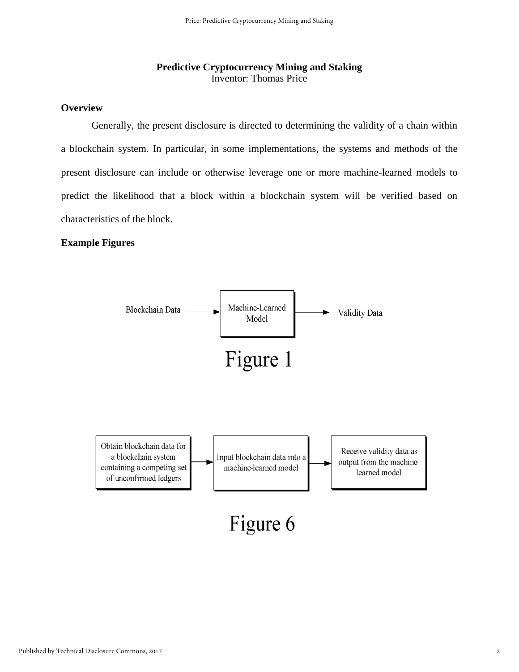#### **Predictive Cryptocurrency Mining and Staking**  Inventor: Thomas Price

#### **Overview**

Generally, the present disclosure is directed to determining the validity of a chain within a blockchain system. In particular, in some implementations, the systems and methods of the present disclosure can include or otherwise leverage one or more machine-learned models to predict the likelihood that a block within a blockchain system will be verified based on characteristics of the block.

#### **Example Figures**

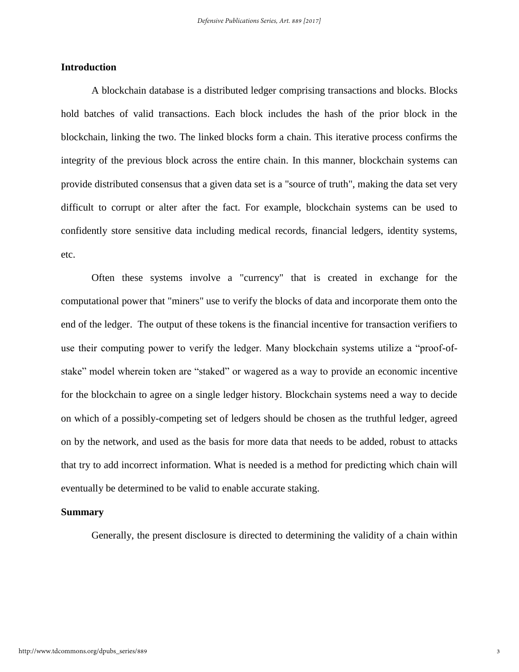#### **Introduction**

A blockchain database is a distributed ledger comprising transactions and blocks. Blocks hold batches of valid transactions. Each block includes the hash of the prior block in the blockchain, linking the two. The linked blocks form a chain. This iterative process confirms the integrity of the previous block across the entire chain. In this manner, blockchain systems can provide distributed consensus that a given data set is a "source of truth", making the data set very difficult to corrupt or alter after the fact. For example, blockchain systems can be used to confidently store sensitive data including medical records, financial ledgers, identity systems, etc.

Often these systems involve a "currency" that is created in exchange for the computational power that "miners" use to verify the blocks of data and incorporate them onto the end of the ledger. The output of these tokens is the financial incentive for transaction verifiers to use their computing power to verify the ledger. Many blockchain systems utilize a "proof-ofstake" model wherein token are "staked" or wagered as a way to provide an economic incentive for the blockchain to agree on a single ledger history. Blockchain systems need a way to decide on which of a possibly-competing set of ledgers should be chosen as the truthful ledger, agreed on by the network, and used as the basis for more data that needs to be added, robust to attacks that try to add incorrect information. What is needed is a method for predicting which chain will eventually be determined to be valid to enable accurate staking.

#### **Summary**

Generally, the present disclosure is directed to determining the validity of a chain within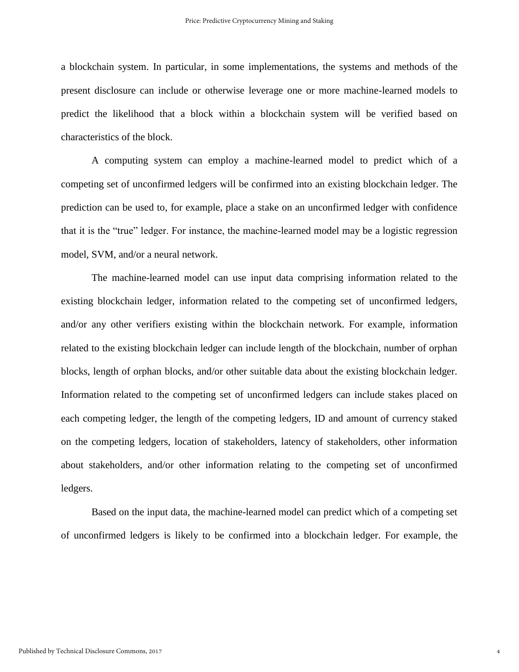a blockchain system. In particular, in some implementations, the systems and methods of the present disclosure can include or otherwise leverage one or more machine-learned models to predict the likelihood that a block within a blockchain system will be verified based on characteristics of the block.

A computing system can employ a machine-learned model to predict which of a competing set of unconfirmed ledgers will be confirmed into an existing blockchain ledger. The prediction can be used to, for example, place a stake on an unconfirmed ledger with confidence that it is the "true" ledger. For instance, the machine-learned model may be a logistic regression model, SVM, and/or a neural network.

The machine-learned model can use input data comprising information related to the existing blockchain ledger, information related to the competing set of unconfirmed ledgers, and/or any other verifiers existing within the blockchain network. For example, information related to the existing blockchain ledger can include length of the blockchain, number of orphan blocks, length of orphan blocks, and/or other suitable data about the existing blockchain ledger. Information related to the competing set of unconfirmed ledgers can include stakes placed on each competing ledger, the length of the competing ledgers, ID and amount of currency staked on the competing ledgers, location of stakeholders, latency of stakeholders, other information about stakeholders, and/or other information relating to the competing set of unconfirmed ledgers.

Based on the input data, the machine-learned model can predict which of a competing set of unconfirmed ledgers is likely to be confirmed into a blockchain ledger. For example, the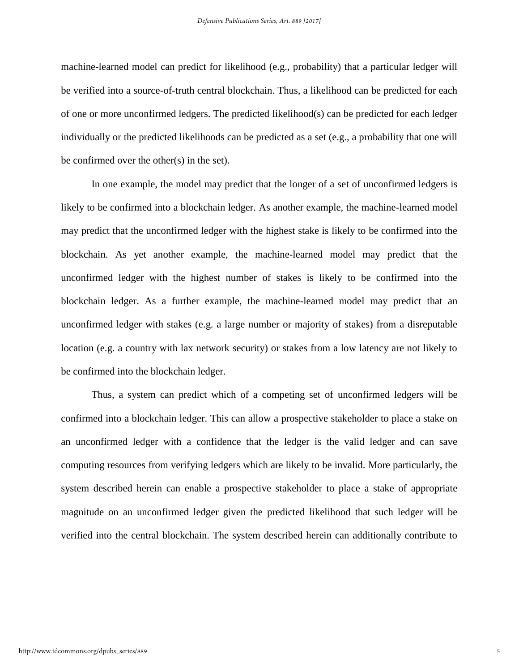machine-learned model can predict for likelihood (e.g., probability) that a particular ledger will be verified into a source-of-truth central blockchain. Thus, a likelihood can be predicted for each of one or more unconfirmed ledgers. The predicted likelihood(s) can be predicted for each ledger individually or the predicted likelihoods can be predicted as a set (e.g., a probability that one will be confirmed over the other(s) in the set).

In one example, the model may predict that the longer of a set of unconfirmed ledgers is likely to be confirmed into a blockchain ledger. As another example, the machine-learned model may predict that the unconfirmed ledger with the highest stake is likely to be confirmed into the blockchain. As yet another example, the machine-learned model may predict that the unconfirmed ledger with the highest number of stakes is likely to be confirmed into the blockchain ledger. As a further example, the machine-learned model may predict that an unconfirmed ledger with stakes (e.g. a large number or majority of stakes) from a disreputable location (e.g. a country with lax network security) or stakes from a low latency are not likely to be confirmed into the blockchain ledger.

Thus, a system can predict which of a competing set of unconfirmed ledgers will be confirmed into a blockchain ledger. This can allow a prospective stakeholder to place a stake on an unconfirmed ledger with a confidence that the ledger is the valid ledger and can save computing resources from verifying ledgers which are likely to be invalid. More particularly, the system described herein can enable a prospective stakeholder to place a stake of appropriate magnitude on an unconfirmed ledger given the predicted likelihood that such ledger will be verified into the central blockchain. The system described herein can additionally contribute to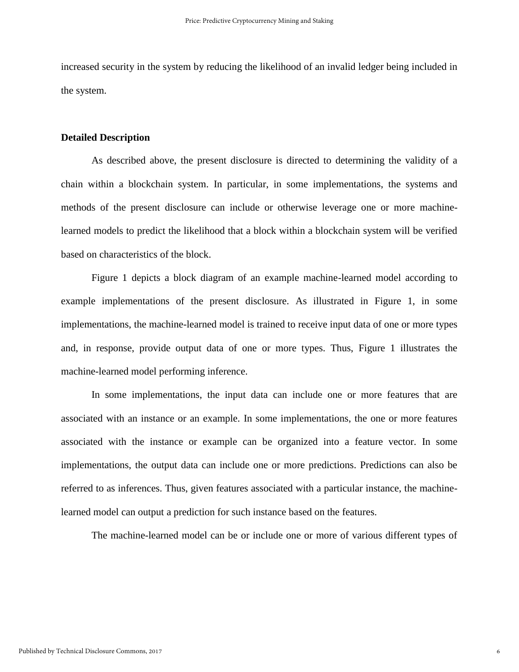increased security in the system by reducing the likelihood of an invalid ledger being included in the system.

#### **Detailed Description**

As described above, the present disclosure is directed to determining the validity of a chain within a blockchain system. In particular, in some implementations, the systems and methods of the present disclosure can include or otherwise leverage one or more machinelearned models to predict the likelihood that a block within a blockchain system will be verified based on characteristics of the block.

Figure 1 depicts a block diagram of an example machine-learned model according to example implementations of the present disclosure. As illustrated in Figure 1, in some implementations, the machine-learned model is trained to receive input data of one or more types and, in response, provide output data of one or more types. Thus, Figure 1 illustrates the machine-learned model performing inference.

In some implementations, the input data can include one or more features that are associated with an instance or an example. In some implementations, the one or more features associated with the instance or example can be organized into a feature vector. In some implementations, the output data can include one or more predictions. Predictions can also be referred to as inferences. Thus, given features associated with a particular instance, the machinelearned model can output a prediction for such instance based on the features.

The machine-learned model can be or include one or more of various different types of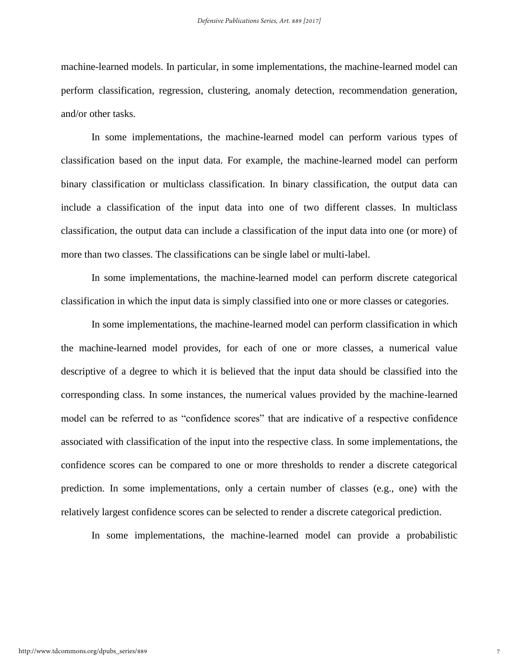machine-learned models. In particular, in some implementations, the machine-learned model can perform classification, regression, clustering, anomaly detection, recommendation generation, and/or other tasks.

In some implementations, the machine-learned model can perform various types of classification based on the input data. For example, the machine-learned model can perform binary classification or multiclass classification. In binary classification, the output data can include a classification of the input data into one of two different classes. In multiclass classification, the output data can include a classification of the input data into one (or more) of more than two classes. The classifications can be single label or multi-label.

In some implementations, the machine-learned model can perform discrete categorical classification in which the input data is simply classified into one or more classes or categories.

In some implementations, the machine-learned model can perform classification in which the machine-learned model provides, for each of one or more classes, a numerical value descriptive of a degree to which it is believed that the input data should be classified into the corresponding class. In some instances, the numerical values provided by the machine-learned model can be referred to as "confidence scores" that are indicative of a respective confidence associated with classification of the input into the respective class. In some implementations, the confidence scores can be compared to one or more thresholds to render a discrete categorical prediction. In some implementations, only a certain number of classes (e.g., one) with the relatively largest confidence scores can be selected to render a discrete categorical prediction.

In some implementations, the machine-learned model can provide a probabilistic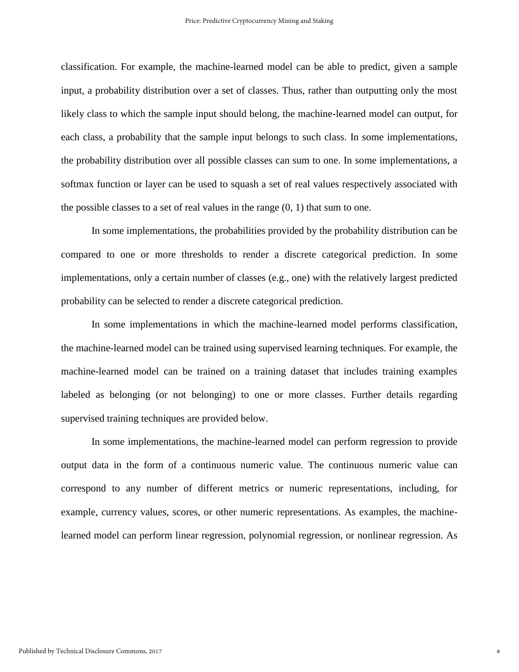classification. For example, the machine-learned model can be able to predict, given a sample input, a probability distribution over a set of classes. Thus, rather than outputting only the most likely class to which the sample input should belong, the machine-learned model can output, for each class, a probability that the sample input belongs to such class. In some implementations, the probability distribution over all possible classes can sum to one. In some implementations, a softmax function or layer can be used to squash a set of real values respectively associated with the possible classes to a set of real values in the range  $(0, 1)$  that sum to one.

In some implementations, the probabilities provided by the probability distribution can be compared to one or more thresholds to render a discrete categorical prediction. In some implementations, only a certain number of classes (e.g., one) with the relatively largest predicted probability can be selected to render a discrete categorical prediction.

In some implementations in which the machine-learned model performs classification, the machine-learned model can be trained using supervised learning techniques. For example, the machine-learned model can be trained on a training dataset that includes training examples labeled as belonging (or not belonging) to one or more classes. Further details regarding supervised training techniques are provided below.

In some implementations, the machine-learned model can perform regression to provide output data in the form of a continuous numeric value. The continuous numeric value can correspond to any number of different metrics or numeric representations, including, for example, currency values, scores, or other numeric representations. As examples, the machinelearned model can perform linear regression, polynomial regression, or nonlinear regression. As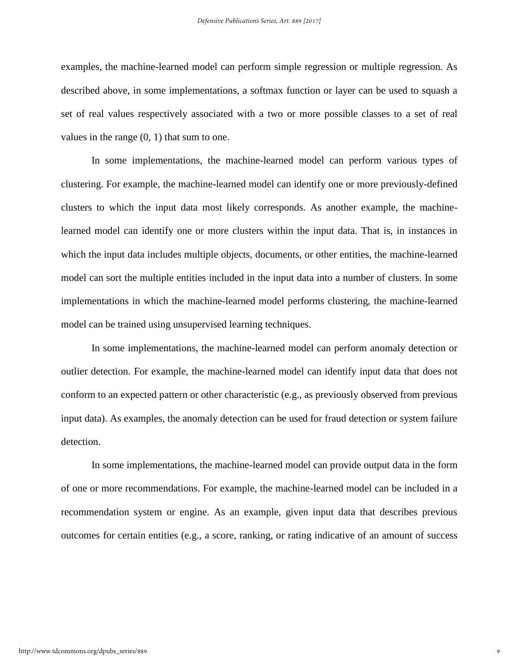examples, the machine-learned model can perform simple regression or multiple regression. As described above, in some implementations, a softmax function or layer can be used to squash a set of real values respectively associated with a two or more possible classes to a set of real values in the range (0, 1) that sum to one.

In some implementations, the machine-learned model can perform various types of clustering. For example, the machine-learned model can identify one or more previously-defined clusters to which the input data most likely corresponds. As another example, the machinelearned model can identify one or more clusters within the input data. That is, in instances in which the input data includes multiple objects, documents, or other entities, the machine-learned model can sort the multiple entities included in the input data into a number of clusters. In some implementations in which the machine-learned model performs clustering, the machine-learned model can be trained using unsupervised learning techniques.

In some implementations, the machine-learned model can perform anomaly detection or outlier detection. For example, the machine-learned model can identify input data that does not conform to an expected pattern or other characteristic (e.g., as previously observed from previous input data). As examples, the anomaly detection can be used for fraud detection or system failure detection.

In some implementations, the machine-learned model can provide output data in the form of one or more recommendations. For example, the machine-learned model can be included in a recommendation system or engine. As an example, given input data that describes previous outcomes for certain entities (e.g., a score, ranking, or rating indicative of an amount of success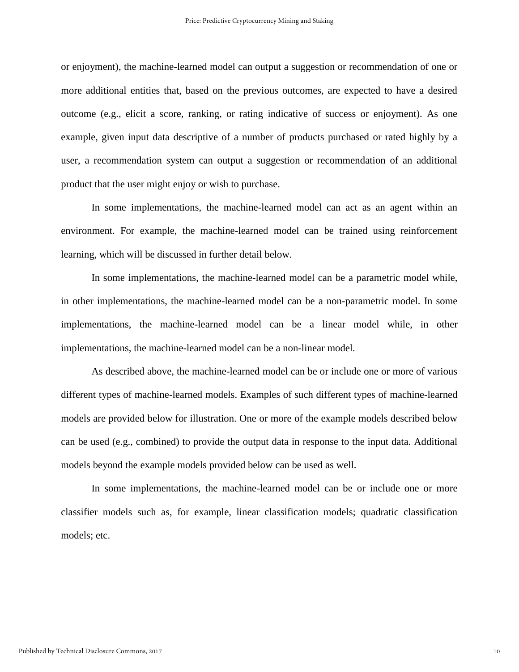or enjoyment), the machine-learned model can output a suggestion or recommendation of one or more additional entities that, based on the previous outcomes, are expected to have a desired outcome (e.g., elicit a score, ranking, or rating indicative of success or enjoyment). As one example, given input data descriptive of a number of products purchased or rated highly by a user, a recommendation system can output a suggestion or recommendation of an additional product that the user might enjoy or wish to purchase.

In some implementations, the machine-learned model can act as an agent within an environment. For example, the machine-learned model can be trained using reinforcement learning, which will be discussed in further detail below.

In some implementations, the machine-learned model can be a parametric model while, in other implementations, the machine-learned model can be a non-parametric model. In some implementations, the machine-learned model can be a linear model while, in other implementations, the machine-learned model can be a non-linear model.

As described above, the machine-learned model can be or include one or more of various different types of machine-learned models. Examples of such different types of machine-learned models are provided below for illustration. One or more of the example models described below can be used (e.g., combined) to provide the output data in response to the input data. Additional models beyond the example models provided below can be used as well.

In some implementations, the machine-learned model can be or include one or more classifier models such as, for example, linear classification models; quadratic classification models; etc.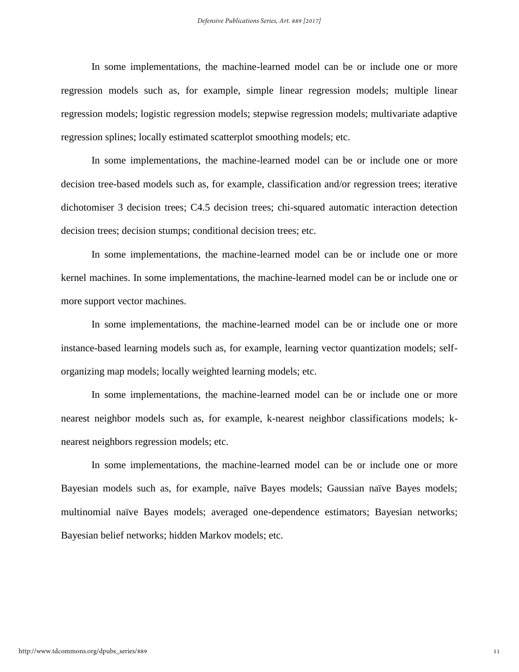In some implementations, the machine-learned model can be or include one or more regression models such as, for example, simple linear regression models; multiple linear regression models; logistic regression models; stepwise regression models; multivariate adaptive regression splines; locally estimated scatterplot smoothing models; etc.

In some implementations, the machine-learned model can be or include one or more decision tree-based models such as, for example, classification and/or regression trees; iterative dichotomiser 3 decision trees; C4.5 decision trees; chi-squared automatic interaction detection decision trees; decision stumps; conditional decision trees; etc.

In some implementations, the machine-learned model can be or include one or more kernel machines. In some implementations, the machine-learned model can be or include one or more support vector machines.

In some implementations, the machine-learned model can be or include one or more instance-based learning models such as, for example, learning vector quantization models; selforganizing map models; locally weighted learning models; etc.

In some implementations, the machine-learned model can be or include one or more nearest neighbor models such as, for example, k-nearest neighbor classifications models; knearest neighbors regression models; etc.

In some implementations, the machine-learned model can be or include one or more Bayesian models such as, for example, naïve Bayes models; Gaussian naïve Bayes models; multinomial naïve Bayes models; averaged one-dependence estimators; Bayesian networks; Bayesian belief networks; hidden Markov models; etc.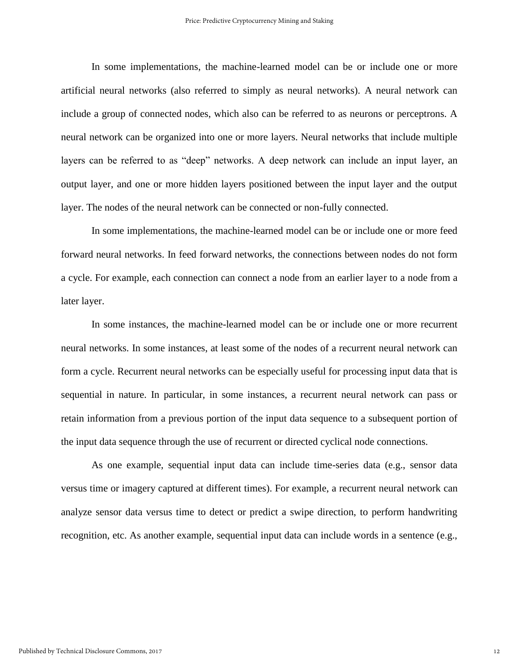In some implementations, the machine-learned model can be or include one or more artificial neural networks (also referred to simply as neural networks). A neural network can include a group of connected nodes, which also can be referred to as neurons or perceptrons. A neural network can be organized into one or more layers. Neural networks that include multiple layers can be referred to as "deep" networks. A deep network can include an input layer, an output layer, and one or more hidden layers positioned between the input layer and the output layer. The nodes of the neural network can be connected or non-fully connected.

In some implementations, the machine-learned model can be or include one or more feed forward neural networks. In feed forward networks, the connections between nodes do not form a cycle. For example, each connection can connect a node from an earlier layer to a node from a later layer.

In some instances, the machine-learned model can be or include one or more recurrent neural networks. In some instances, at least some of the nodes of a recurrent neural network can form a cycle. Recurrent neural networks can be especially useful for processing input data that is sequential in nature. In particular, in some instances, a recurrent neural network can pass or retain information from a previous portion of the input data sequence to a subsequent portion of the input data sequence through the use of recurrent or directed cyclical node connections.

As one example, sequential input data can include time-series data (e.g., sensor data versus time or imagery captured at different times). For example, a recurrent neural network can analyze sensor data versus time to detect or predict a swipe direction, to perform handwriting recognition, etc. As another example, sequential input data can include words in a sentence (e.g.,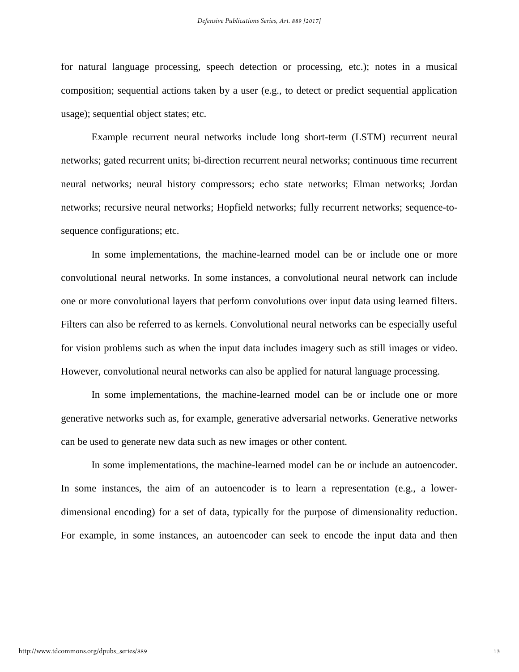for natural language processing, speech detection or processing, etc.); notes in a musical composition; sequential actions taken by a user (e.g., to detect or predict sequential application usage); sequential object states; etc.

Example recurrent neural networks include long short-term (LSTM) recurrent neural networks; gated recurrent units; bi-direction recurrent neural networks; continuous time recurrent neural networks; neural history compressors; echo state networks; Elman networks; Jordan networks; recursive neural networks; Hopfield networks; fully recurrent networks; sequence-tosequence configurations; etc.

In some implementations, the machine-learned model can be or include one or more convolutional neural networks. In some instances, a convolutional neural network can include one or more convolutional layers that perform convolutions over input data using learned filters. Filters can also be referred to as kernels. Convolutional neural networks can be especially useful for vision problems such as when the input data includes imagery such as still images or video. However, convolutional neural networks can also be applied for natural language processing.

In some implementations, the machine-learned model can be or include one or more generative networks such as, for example, generative adversarial networks. Generative networks can be used to generate new data such as new images or other content.

In some implementations, the machine-learned model can be or include an autoencoder. In some instances, the aim of an autoencoder is to learn a representation (e.g., a lowerdimensional encoding) for a set of data, typically for the purpose of dimensionality reduction. For example, in some instances, an autoencoder can seek to encode the input data and then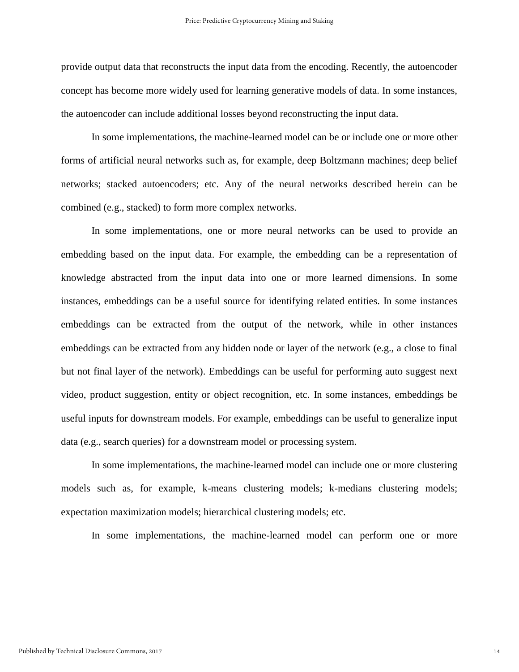provide output data that reconstructs the input data from the encoding. Recently, the autoencoder concept has become more widely used for learning generative models of data. In some instances, the autoencoder can include additional losses beyond reconstructing the input data.

In some implementations, the machine-learned model can be or include one or more other forms of artificial neural networks such as, for example, deep Boltzmann machines; deep belief networks; stacked autoencoders; etc. Any of the neural networks described herein can be combined (e.g., stacked) to form more complex networks.

In some implementations, one or more neural networks can be used to provide an embedding based on the input data. For example, the embedding can be a representation of knowledge abstracted from the input data into one or more learned dimensions. In some instances, embeddings can be a useful source for identifying related entities. In some instances embeddings can be extracted from the output of the network, while in other instances embeddings can be extracted from any hidden node or layer of the network (e.g., a close to final but not final layer of the network). Embeddings can be useful for performing auto suggest next video, product suggestion, entity or object recognition, etc. In some instances, embeddings be useful inputs for downstream models. For example, embeddings can be useful to generalize input data (e.g., search queries) for a downstream model or processing system.

In some implementations, the machine-learned model can include one or more clustering models such as, for example, k-means clustering models; k-medians clustering models; expectation maximization models; hierarchical clustering models; etc.

In some implementations, the machine-learned model can perform one or more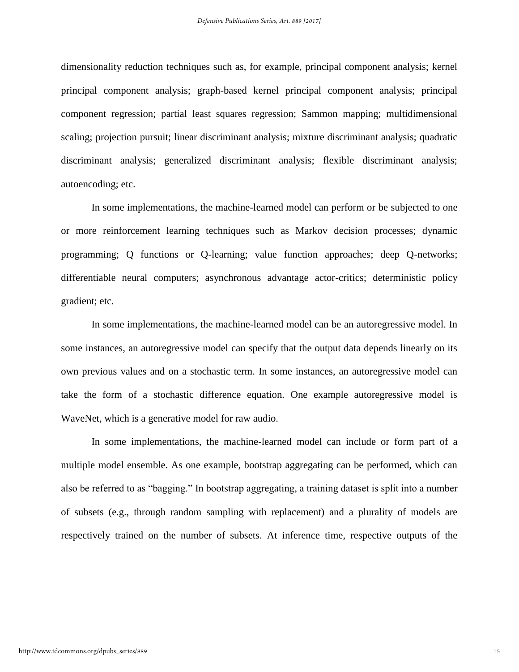dimensionality reduction techniques such as, for example, principal component analysis; kernel principal component analysis; graph-based kernel principal component analysis; principal component regression; partial least squares regression; Sammon mapping; multidimensional scaling; projection pursuit; linear discriminant analysis; mixture discriminant analysis; quadratic discriminant analysis; generalized discriminant analysis; flexible discriminant analysis; autoencoding; etc.

In some implementations, the machine-learned model can perform or be subjected to one or more reinforcement learning techniques such as Markov decision processes; dynamic programming; Q functions or Q-learning; value function approaches; deep Q-networks; differentiable neural computers; asynchronous advantage actor-critics; deterministic policy gradient; etc.

In some implementations, the machine-learned model can be an autoregressive model. In some instances, an autoregressive model can specify that the output data depends linearly on its own previous values and on a stochastic term. In some instances, an autoregressive model can take the form of a stochastic difference equation. One example autoregressive model is WaveNet, which is a generative model for raw audio.

In some implementations, the machine-learned model can include or form part of a multiple model ensemble. As one example, bootstrap aggregating can be performed, which can also be referred to as "bagging." In bootstrap aggregating, a training dataset is split into a number of subsets (e.g., through random sampling with replacement) and a plurality of models are respectively trained on the number of subsets. At inference time, respective outputs of the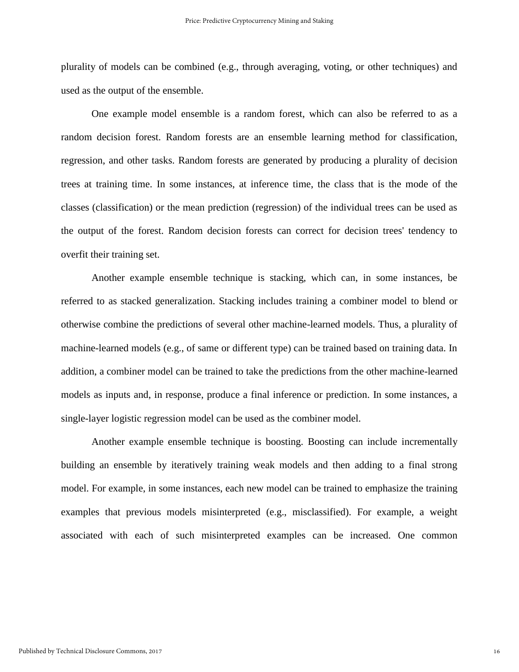plurality of models can be combined (e.g., through averaging, voting, or other techniques) and used as the output of the ensemble.

One example model ensemble is a random forest, which can also be referred to as a random decision forest. Random forests are an ensemble learning method for classification, regression, and other tasks. Random forests are generated by producing a plurality of decision trees at training time. In some instances, at inference time, the class that is the mode of the classes (classification) or the mean prediction (regression) of the individual trees can be used as the output of the forest. Random decision forests can correct for decision trees' tendency to overfit their training set.

Another example ensemble technique is stacking, which can, in some instances, be referred to as stacked generalization. Stacking includes training a combiner model to blend or otherwise combine the predictions of several other machine-learned models. Thus, a plurality of machine-learned models (e.g., of same or different type) can be trained based on training data. In addition, a combiner model can be trained to take the predictions from the other machine-learned models as inputs and, in response, produce a final inference or prediction. In some instances, a single-layer logistic regression model can be used as the combiner model.

Another example ensemble technique is boosting. Boosting can include incrementally building an ensemble by iteratively training weak models and then adding to a final strong model. For example, in some instances, each new model can be trained to emphasize the training examples that previous models misinterpreted (e.g., misclassified). For example, a weight associated with each of such misinterpreted examples can be increased. One common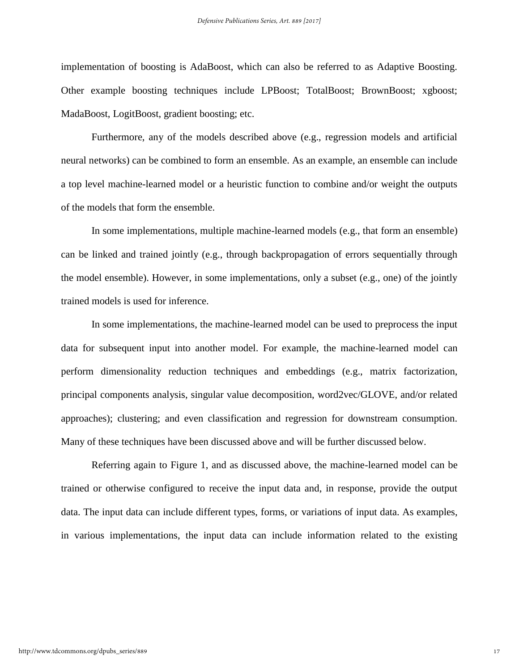implementation of boosting is AdaBoost, which can also be referred to as Adaptive Boosting. Other example boosting techniques include LPBoost; TotalBoost; BrownBoost; xgboost; MadaBoost, LogitBoost, gradient boosting; etc.

Furthermore, any of the models described above (e.g., regression models and artificial neural networks) can be combined to form an ensemble. As an example, an ensemble can include a top level machine-learned model or a heuristic function to combine and/or weight the outputs of the models that form the ensemble.

In some implementations, multiple machine-learned models (e.g., that form an ensemble) can be linked and trained jointly (e.g., through backpropagation of errors sequentially through the model ensemble). However, in some implementations, only a subset (e.g., one) of the jointly trained models is used for inference.

In some implementations, the machine-learned model can be used to preprocess the input data for subsequent input into another model. For example, the machine-learned model can perform dimensionality reduction techniques and embeddings (e.g., matrix factorization, principal components analysis, singular value decomposition, word2vec/GLOVE, and/or related approaches); clustering; and even classification and regression for downstream consumption. Many of these techniques have been discussed above and will be further discussed below.

Referring again to Figure 1, and as discussed above, the machine-learned model can be trained or otherwise configured to receive the input data and, in response, provide the output data. The input data can include different types, forms, or variations of input data. As examples, in various implementations, the input data can include information related to the existing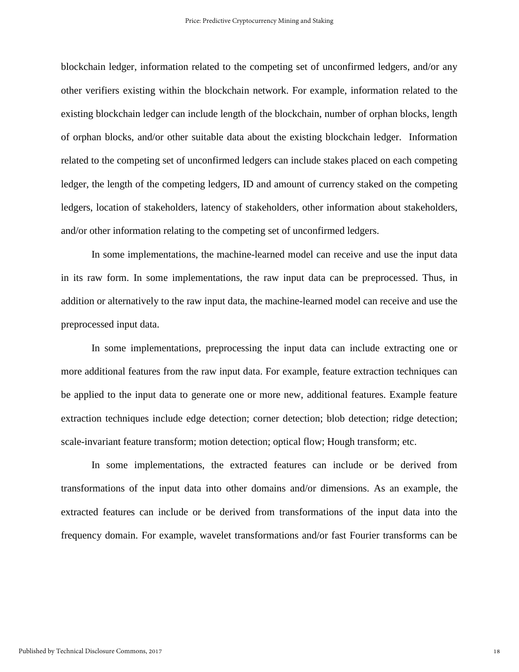blockchain ledger, information related to the competing set of unconfirmed ledgers, and/or any other verifiers existing within the blockchain network. For example, information related to the existing blockchain ledger can include length of the blockchain, number of orphan blocks, length of orphan blocks, and/or other suitable data about the existing blockchain ledger. Information related to the competing set of unconfirmed ledgers can include stakes placed on each competing ledger, the length of the competing ledgers, ID and amount of currency staked on the competing ledgers, location of stakeholders, latency of stakeholders, other information about stakeholders, and/or other information relating to the competing set of unconfirmed ledgers.

In some implementations, the machine-learned model can receive and use the input data in its raw form. In some implementations, the raw input data can be preprocessed. Thus, in addition or alternatively to the raw input data, the machine-learned model can receive and use the preprocessed input data.

In some implementations, preprocessing the input data can include extracting one or more additional features from the raw input data. For example, feature extraction techniques can be applied to the input data to generate one or more new, additional features. Example feature extraction techniques include edge detection; corner detection; blob detection; ridge detection; scale-invariant feature transform; motion detection; optical flow; Hough transform; etc.

In some implementations, the extracted features can include or be derived from transformations of the input data into other domains and/or dimensions. As an example, the extracted features can include or be derived from transformations of the input data into the frequency domain. For example, wavelet transformations and/or fast Fourier transforms can be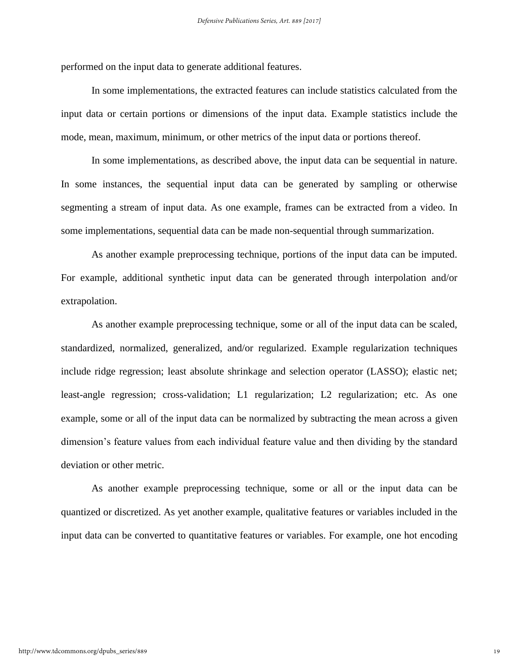performed on the input data to generate additional features.

In some implementations, the extracted features can include statistics calculated from the input data or certain portions or dimensions of the input data. Example statistics include the mode, mean, maximum, minimum, or other metrics of the input data or portions thereof.

In some implementations, as described above, the input data can be sequential in nature. In some instances, the sequential input data can be generated by sampling or otherwise segmenting a stream of input data. As one example, frames can be extracted from a video. In some implementations, sequential data can be made non-sequential through summarization.

As another example preprocessing technique, portions of the input data can be imputed. For example, additional synthetic input data can be generated through interpolation and/or extrapolation.

As another example preprocessing technique, some or all of the input data can be scaled, standardized, normalized, generalized, and/or regularized. Example regularization techniques include ridge regression; least absolute shrinkage and selection operator (LASSO); elastic net; least-angle regression; cross-validation; L1 regularization; L2 regularization; etc. As one example, some or all of the input data can be normalized by subtracting the mean across a given dimension's feature values from each individual feature value and then dividing by the standard deviation or other metric.

As another example preprocessing technique, some or all or the input data can be quantized or discretized. As yet another example, qualitative features or variables included in the input data can be converted to quantitative features or variables. For example, one hot encoding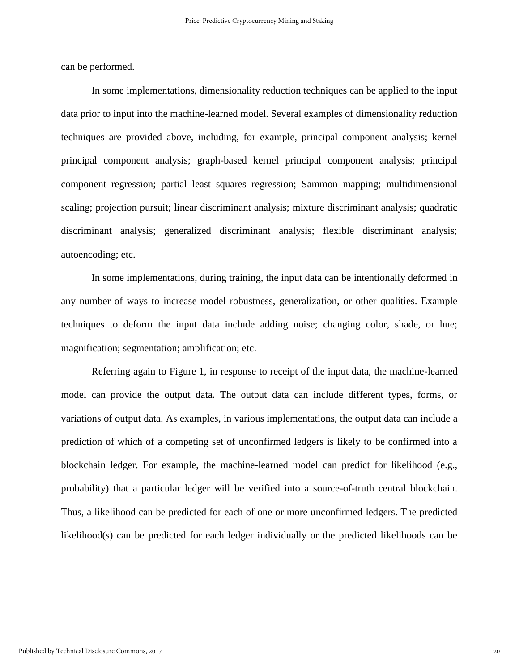can be performed.

In some implementations, dimensionality reduction techniques can be applied to the input data prior to input into the machine-learned model. Several examples of dimensionality reduction techniques are provided above, including, for example, principal component analysis; kernel principal component analysis; graph-based kernel principal component analysis; principal component regression; partial least squares regression; Sammon mapping; multidimensional scaling; projection pursuit; linear discriminant analysis; mixture discriminant analysis; quadratic discriminant analysis; generalized discriminant analysis; flexible discriminant analysis; autoencoding; etc.

In some implementations, during training, the input data can be intentionally deformed in any number of ways to increase model robustness, generalization, or other qualities. Example techniques to deform the input data include adding noise; changing color, shade, or hue; magnification; segmentation; amplification; etc.

Referring again to Figure 1, in response to receipt of the input data, the machine-learned model can provide the output data. The output data can include different types, forms, or variations of output data. As examples, in various implementations, the output data can include a prediction of which of a competing set of unconfirmed ledgers is likely to be confirmed into a blockchain ledger. For example, the machine-learned model can predict for likelihood (e.g., probability) that a particular ledger will be verified into a source-of-truth central blockchain. Thus, a likelihood can be predicted for each of one or more unconfirmed ledgers. The predicted likelihood(s) can be predicted for each ledger individually or the predicted likelihoods can be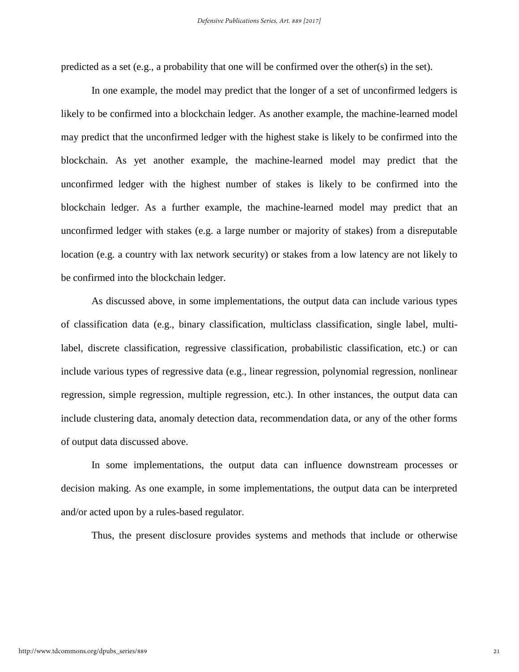predicted as a set (e.g., a probability that one will be confirmed over the other(s) in the set).

In one example, the model may predict that the longer of a set of unconfirmed ledgers is likely to be confirmed into a blockchain ledger. As another example, the machine-learned model may predict that the unconfirmed ledger with the highest stake is likely to be confirmed into the blockchain. As yet another example, the machine-learned model may predict that the unconfirmed ledger with the highest number of stakes is likely to be confirmed into the blockchain ledger. As a further example, the machine-learned model may predict that an unconfirmed ledger with stakes (e.g. a large number or majority of stakes) from a disreputable location (e.g. a country with lax network security) or stakes from a low latency are not likely to be confirmed into the blockchain ledger.

As discussed above, in some implementations, the output data can include various types of classification data (e.g., binary classification, multiclass classification, single label, multilabel, discrete classification, regressive classification, probabilistic classification, etc.) or can include various types of regressive data (e.g., linear regression, polynomial regression, nonlinear regression, simple regression, multiple regression, etc.). In other instances, the output data can include clustering data, anomaly detection data, recommendation data, or any of the other forms of output data discussed above.

In some implementations, the output data can influence downstream processes or decision making. As one example, in some implementations, the output data can be interpreted and/or acted upon by a rules-based regulator.

Thus, the present disclosure provides systems and methods that include or otherwise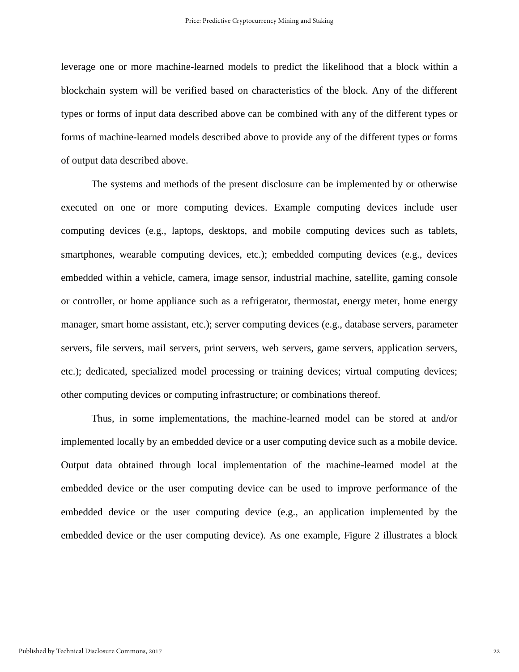leverage one or more machine-learned models to predict the likelihood that a block within a blockchain system will be verified based on characteristics of the block. Any of the different types or forms of input data described above can be combined with any of the different types or forms of machine-learned models described above to provide any of the different types or forms of output data described above.

The systems and methods of the present disclosure can be implemented by or otherwise executed on one or more computing devices. Example computing devices include user computing devices (e.g., laptops, desktops, and mobile computing devices such as tablets, smartphones, wearable computing devices, etc.); embedded computing devices (e.g., devices embedded within a vehicle, camera, image sensor, industrial machine, satellite, gaming console or controller, or home appliance such as a refrigerator, thermostat, energy meter, home energy manager, smart home assistant, etc.); server computing devices (e.g., database servers, parameter servers, file servers, mail servers, print servers, web servers, game servers, application servers, etc.); dedicated, specialized model processing or training devices; virtual computing devices; other computing devices or computing infrastructure; or combinations thereof.

Thus, in some implementations, the machine-learned model can be stored at and/or implemented locally by an embedded device or a user computing device such as a mobile device. Output data obtained through local implementation of the machine-learned model at the embedded device or the user computing device can be used to improve performance of the embedded device or the user computing device (e.g., an application implemented by the embedded device or the user computing device). As one example, Figure 2 illustrates a block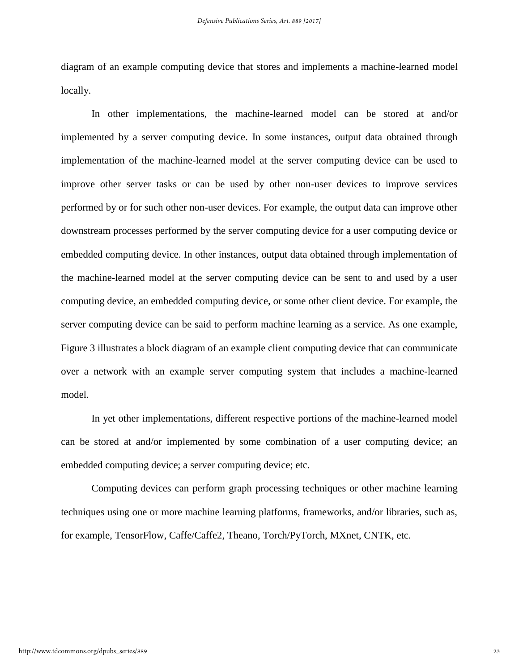diagram of an example computing device that stores and implements a machine-learned model locally.

In other implementations, the machine-learned model can be stored at and/or implemented by a server computing device. In some instances, output data obtained through implementation of the machine-learned model at the server computing device can be used to improve other server tasks or can be used by other non-user devices to improve services performed by or for such other non-user devices. For example, the output data can improve other downstream processes performed by the server computing device for a user computing device or embedded computing device. In other instances, output data obtained through implementation of the machine-learned model at the server computing device can be sent to and used by a user computing device, an embedded computing device, or some other client device. For example, the server computing device can be said to perform machine learning as a service. As one example, Figure 3 illustrates a block diagram of an example client computing device that can communicate over a network with an example server computing system that includes a machine-learned model.

In yet other implementations, different respective portions of the machine-learned model can be stored at and/or implemented by some combination of a user computing device; an embedded computing device; a server computing device; etc.

Computing devices can perform graph processing techniques or other machine learning techniques using one or more machine learning platforms, frameworks, and/or libraries, such as, for example, TensorFlow, Caffe/Caffe2, Theano, Torch/PyTorch, MXnet, CNTK, etc.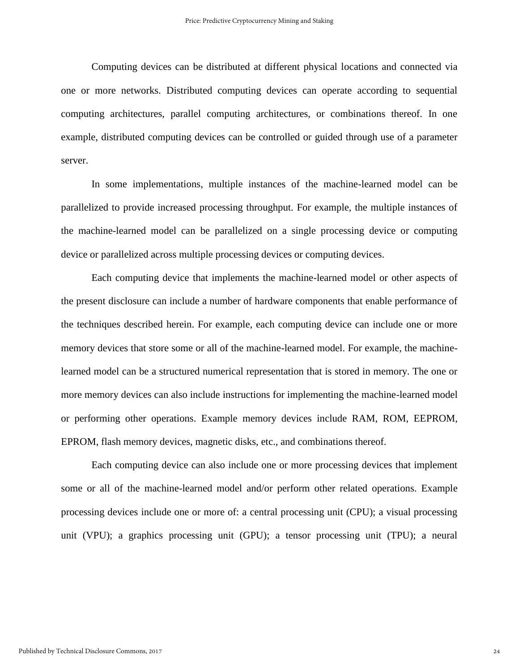Computing devices can be distributed at different physical locations and connected via one or more networks. Distributed computing devices can operate according to sequential computing architectures, parallel computing architectures, or combinations thereof. In one example, distributed computing devices can be controlled or guided through use of a parameter server.

In some implementations, multiple instances of the machine-learned model can be parallelized to provide increased processing throughput. For example, the multiple instances of the machine-learned model can be parallelized on a single processing device or computing device or parallelized across multiple processing devices or computing devices.

Each computing device that implements the machine-learned model or other aspects of the present disclosure can include a number of hardware components that enable performance of the techniques described herein. For example, each computing device can include one or more memory devices that store some or all of the machine-learned model. For example, the machinelearned model can be a structured numerical representation that is stored in memory. The one or more memory devices can also include instructions for implementing the machine-learned model or performing other operations. Example memory devices include RAM, ROM, EEPROM, EPROM, flash memory devices, magnetic disks, etc., and combinations thereof.

Each computing device can also include one or more processing devices that implement some or all of the machine-learned model and/or perform other related operations. Example processing devices include one or more of: a central processing unit (CPU); a visual processing unit (VPU); a graphics processing unit (GPU); a tensor processing unit (TPU); a neural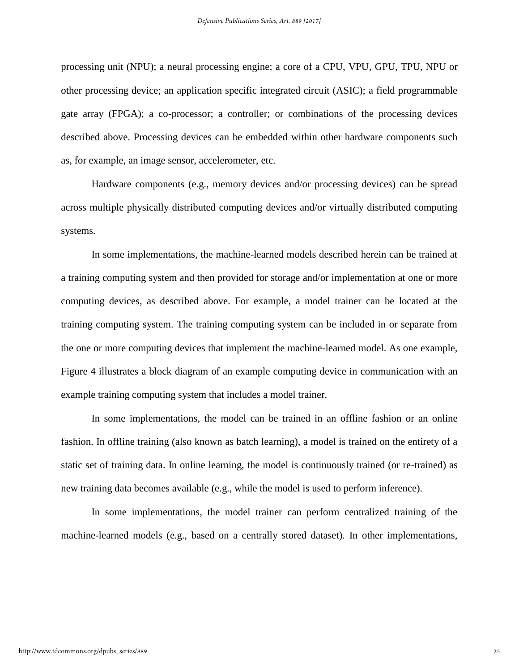processing unit (NPU); a neural processing engine; a core of a CPU, VPU, GPU, TPU, NPU or other processing device; an application specific integrated circuit (ASIC); a field programmable gate array (FPGA); a co-processor; a controller; or combinations of the processing devices described above. Processing devices can be embedded within other hardware components such as, for example, an image sensor, accelerometer, etc.

Hardware components (e.g., memory devices and/or processing devices) can be spread across multiple physically distributed computing devices and/or virtually distributed computing systems.

In some implementations, the machine-learned models described herein can be trained at a training computing system and then provided for storage and/or implementation at one or more computing devices, as described above. For example, a model trainer can be located at the training computing system. The training computing system can be included in or separate from the one or more computing devices that implement the machine-learned model. As one example, Figure 4 illustrates a block diagram of an example computing device in communication with an example training computing system that includes a model trainer.

In some implementations, the model can be trained in an offline fashion or an online fashion. In offline training (also known as batch learning), a model is trained on the entirety of a static set of training data. In online learning, the model is continuously trained (or re-trained) as new training data becomes available (e.g., while the model is used to perform inference).

In some implementations, the model trainer can perform centralized training of the machine-learned models (e.g., based on a centrally stored dataset). In other implementations,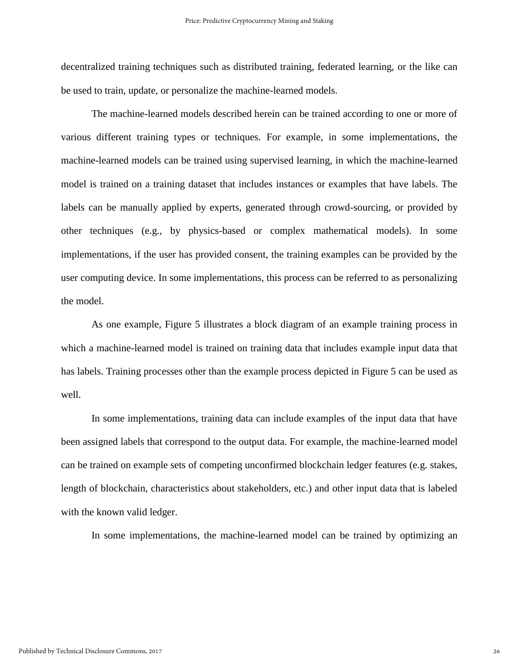decentralized training techniques such as distributed training, federated learning, or the like can be used to train, update, or personalize the machine-learned models.

The machine-learned models described herein can be trained according to one or more of various different training types or techniques. For example, in some implementations, the machine-learned models can be trained using supervised learning, in which the machine-learned model is trained on a training dataset that includes instances or examples that have labels. The labels can be manually applied by experts, generated through crowd-sourcing, or provided by other techniques (e.g., by physics-based or complex mathematical models). In some implementations, if the user has provided consent, the training examples can be provided by the user computing device. In some implementations, this process can be referred to as personalizing the model.

As one example, Figure 5 illustrates a block diagram of an example training process in which a machine-learned model is trained on training data that includes example input data that has labels. Training processes other than the example process depicted in Figure 5 can be used as well.

In some implementations, training data can include examples of the input data that have been assigned labels that correspond to the output data. For example, the machine-learned model can be trained on example sets of competing unconfirmed blockchain ledger features (e.g. stakes, length of blockchain, characteristics about stakeholders, etc.) and other input data that is labeled with the known valid ledger.

In some implementations, the machine-learned model can be trained by optimizing an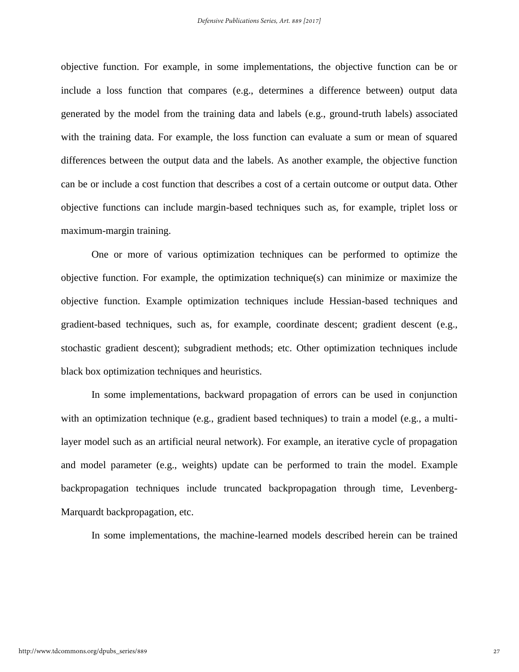objective function. For example, in some implementations, the objective function can be or include a loss function that compares (e.g., determines a difference between) output data generated by the model from the training data and labels (e.g., ground-truth labels) associated with the training data. For example, the loss function can evaluate a sum or mean of squared differences between the output data and the labels. As another example, the objective function can be or include a cost function that describes a cost of a certain outcome or output data. Other objective functions can include margin-based techniques such as, for example, triplet loss or maximum-margin training.

One or more of various optimization techniques can be performed to optimize the objective function. For example, the optimization technique(s) can minimize or maximize the objective function. Example optimization techniques include Hessian-based techniques and gradient-based techniques, such as, for example, coordinate descent; gradient descent (e.g., stochastic gradient descent); subgradient methods; etc. Other optimization techniques include black box optimization techniques and heuristics.

In some implementations, backward propagation of errors can be used in conjunction with an optimization technique (e.g., gradient based techniques) to train a model (e.g., a multilayer model such as an artificial neural network). For example, an iterative cycle of propagation and model parameter (e.g., weights) update can be performed to train the model. Example backpropagation techniques include truncated backpropagation through time, Levenberg-Marquardt backpropagation, etc.

In some implementations, the machine-learned models described herein can be trained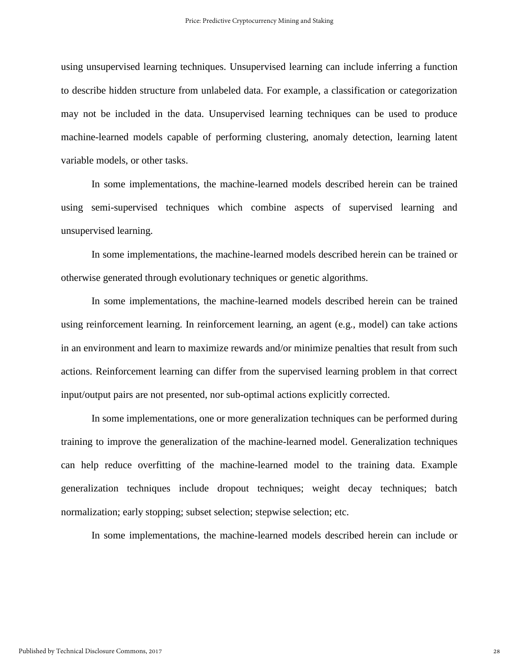using unsupervised learning techniques. Unsupervised learning can include inferring a function to describe hidden structure from unlabeled data. For example, a classification or categorization may not be included in the data. Unsupervised learning techniques can be used to produce machine-learned models capable of performing clustering, anomaly detection, learning latent variable models, or other tasks.

In some implementations, the machine-learned models described herein can be trained using semi-supervised techniques which combine aspects of supervised learning and unsupervised learning.

In some implementations, the machine-learned models described herein can be trained or otherwise generated through evolutionary techniques or genetic algorithms.

In some implementations, the machine-learned models described herein can be trained using reinforcement learning. In reinforcement learning, an agent (e.g., model) can take actions in an environment and learn to maximize rewards and/or minimize penalties that result from such actions. Reinforcement learning can differ from the supervised learning problem in that correct input/output pairs are not presented, nor sub-optimal actions explicitly corrected.

In some implementations, one or more generalization techniques can be performed during training to improve the generalization of the machine-learned model. Generalization techniques can help reduce overfitting of the machine-learned model to the training data. Example generalization techniques include dropout techniques; weight decay techniques; batch normalization; early stopping; subset selection; stepwise selection; etc.

In some implementations, the machine-learned models described herein can include or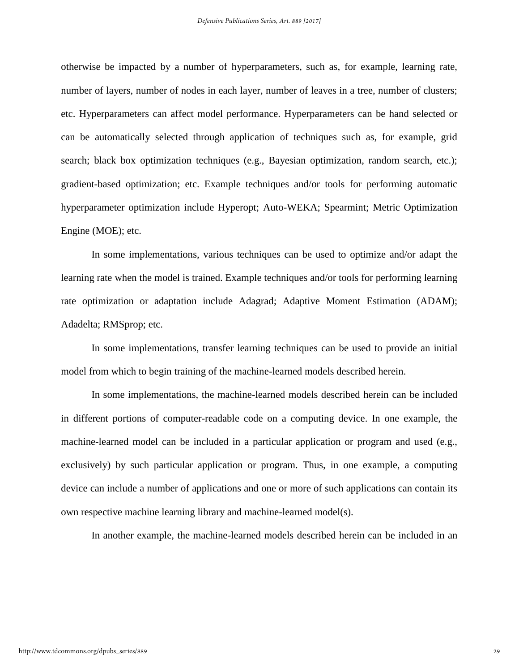otherwise be impacted by a number of hyperparameters, such as, for example, learning rate, number of layers, number of nodes in each layer, number of leaves in a tree, number of clusters; etc. Hyperparameters can affect model performance. Hyperparameters can be hand selected or can be automatically selected through application of techniques such as, for example, grid search; black box optimization techniques (e.g., Bayesian optimization, random search, etc.); gradient-based optimization; etc. Example techniques and/or tools for performing automatic hyperparameter optimization include Hyperopt; Auto-WEKA; Spearmint; Metric Optimization Engine (MOE); etc.

In some implementations, various techniques can be used to optimize and/or adapt the learning rate when the model is trained. Example techniques and/or tools for performing learning rate optimization or adaptation include Adagrad; Adaptive Moment Estimation (ADAM); Adadelta; RMSprop; etc.

In some implementations, transfer learning techniques can be used to provide an initial model from which to begin training of the machine-learned models described herein.

In some implementations, the machine-learned models described herein can be included in different portions of computer-readable code on a computing device. In one example, the machine-learned model can be included in a particular application or program and used (e.g., exclusively) by such particular application or program. Thus, in one example, a computing device can include a number of applications and one or more of such applications can contain its own respective machine learning library and machine-learned model(s).

In another example, the machine-learned models described herein can be included in an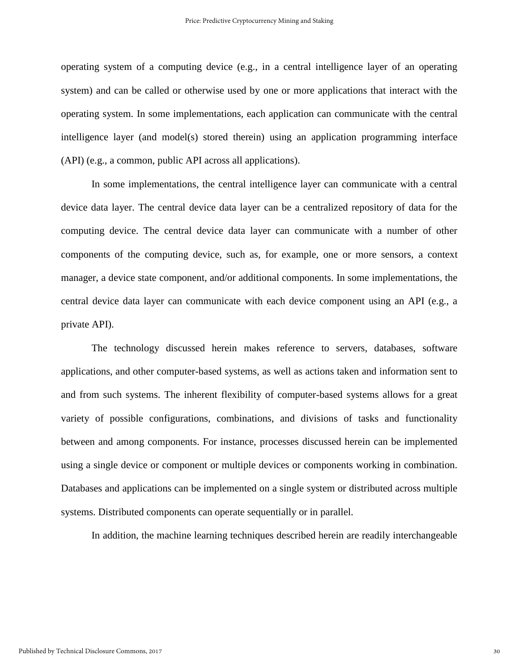operating system of a computing device (e.g., in a central intelligence layer of an operating system) and can be called or otherwise used by one or more applications that interact with the operating system. In some implementations, each application can communicate with the central intelligence layer (and model(s) stored therein) using an application programming interface (API) (e.g., a common, public API across all applications).

In some implementations, the central intelligence layer can communicate with a central device data layer. The central device data layer can be a centralized repository of data for the computing device. The central device data layer can communicate with a number of other components of the computing device, such as, for example, one or more sensors, a context manager, a device state component, and/or additional components. In some implementations, the central device data layer can communicate with each device component using an API (e.g., a private API).

The technology discussed herein makes reference to servers, databases, software applications, and other computer-based systems, as well as actions taken and information sent to and from such systems. The inherent flexibility of computer-based systems allows for a great variety of possible configurations, combinations, and divisions of tasks and functionality between and among components. For instance, processes discussed herein can be implemented using a single device or component or multiple devices or components working in combination. Databases and applications can be implemented on a single system or distributed across multiple systems. Distributed components can operate sequentially or in parallel.

In addition, the machine learning techniques described herein are readily interchangeable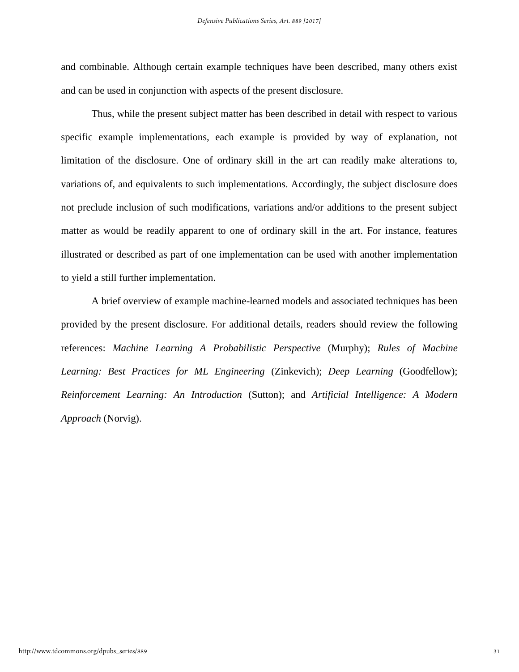and combinable. Although certain example techniques have been described, many others exist and can be used in conjunction with aspects of the present disclosure.

Thus, while the present subject matter has been described in detail with respect to various specific example implementations, each example is provided by way of explanation, not limitation of the disclosure. One of ordinary skill in the art can readily make alterations to, variations of, and equivalents to such implementations. Accordingly, the subject disclosure does not preclude inclusion of such modifications, variations and/or additions to the present subject matter as would be readily apparent to one of ordinary skill in the art. For instance, features illustrated or described as part of one implementation can be used with another implementation to yield a still further implementation.

A brief overview of example machine-learned models and associated techniques has been provided by the present disclosure. For additional details, readers should review the following references: *Machine Learning A Probabilistic Perspective* (Murphy); *Rules of Machine Learning: Best Practices for ML Engineering* (Zinkevich); *Deep Learning* (Goodfellow); *Reinforcement Learning: An Introduction* (Sutton); and *Artificial Intelligence: A Modern Approach* (Norvig).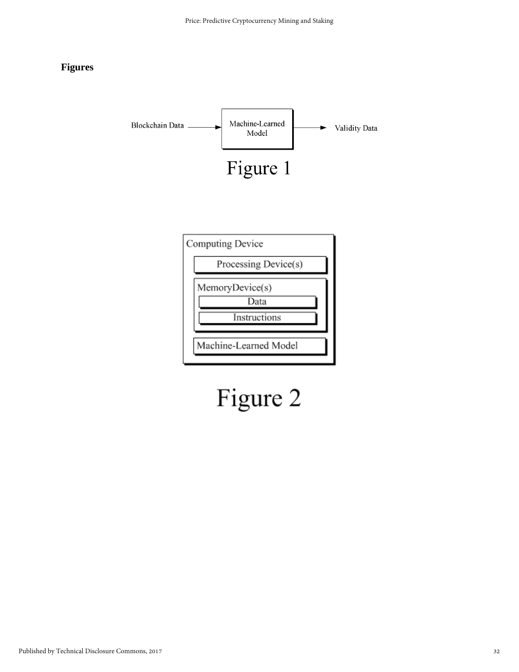#### **Figures**



# Figure 2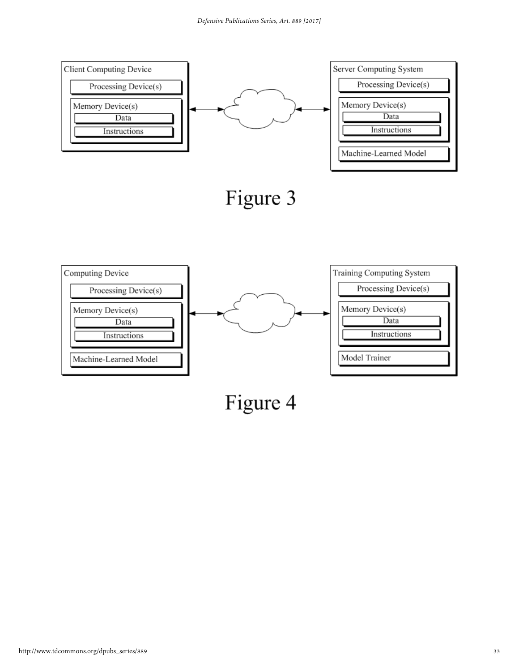

Figure 4